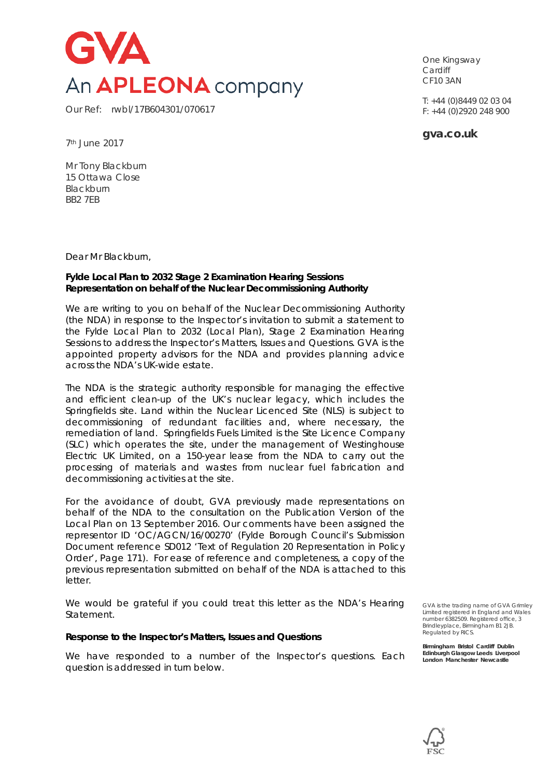

Our Ref: rwbl/17B604301/070617

One Kingsway **Cardiff** CF10 3AN

T: +44 (0)8449 02 03 04 F: +44 (0)2920 248 900

**gva.co.uk**

7th June 2017

Mr Tony Blackburn 15 Ottawa Close **Blackburn** BB2 7EB

Dear Mr Blackburn,

#### **Fylde Local Plan to 2032 Stage 2 Examination Hearing Sessions Representation on behalf of the Nuclear Decommissioning Authority**

We are writing to you on behalf of the Nuclear Decommissioning Authority (the NDA) in response to the Inspector's invitation to submit a statement to the *Fylde Local Plan to 2032 (Local Plan),* Stage 2 Examination Hearing Sessions to address the *Inspector's Matters, Issues and Questions*. GVA is the appointed property advisors for the NDA and provides planning advice across the NDA's UK-wide estate.

The NDA is the strategic authority responsible for managing the effective and efficient clean-up of the UK's nuclear legacy, which includes the Springfields site. Land within the Nuclear Licenced Site (NLS) is subject to decommissioning of redundant facilities and, where necessary, the remediation of land. Springfields Fuels Limited is the Site Licence Company (SLC) which operates the site, under the management of Westinghouse Electric UK Limited, on a 150-year lease from the NDA to carry out the processing of materials and wastes from nuclear fuel fabrication and decommissioning activities at the site.

For the avoidance of doubt, GVA previously made representations on behalf of the NDA to the consultation on the *Publication Version* of the *Local Plan* on 13 September 2016. Our comments have been assigned the representor ID 'OC/AGCN/16/00270' (Fylde Borough Council's Submission Document reference SD012 *'Text of Regulation 20 Representation in Policy Order'*, Page 171). For ease of reference and completeness, a copy of the previous representation submitted on behalf of the NDA is attached to this letter.

We would be grateful if you could treat this letter as the NDA's Hearing Statement.

#### *Response to the Inspector's Matters, Issues and Questions*

We have responded to a number of the Inspector's questions. Each question is addressed in turn below.

GVA is the trading name of GVA Grimley Limited registered in England and Wales number 6382509. Registered office, 3 Brindleyplace, Birmingham B1 2JB. Regulated by RICS.

**Birmingham Bristol Cardiff Dublin Edinburgh Glasgow Leeds Liverpool London Manchester Newcastle**

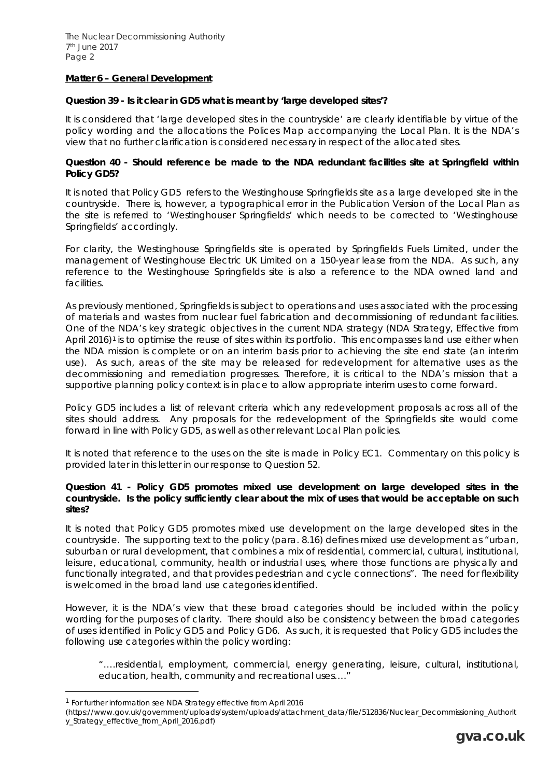# *Matter 6 – General Development*

#### *Question 39 - Is it clear in GD5 what is meant by 'large developed sites'?*

It is considered that 'large developed sites in the countryside' are clearly identifiable by virtue of the policy wording and the allocations the *Polices Map* accompanying the *Local Plan.* It is the NDA's view that no further clarification is considered necessary in respect of the allocated sites.

#### *Question 40 - Should reference be made to the NDA redundant facilities site at Springfield within Policy GD5?*

It is noted that Policy GD5 refers to the Westinghouse Springfields site as a large developed site in the countryside. There is, however, a typographical error in the *Publication Version* of the *Local Plan* as the site is referred to 'Westinghouser Springfields' which needs to be corrected to 'Westinghouse Springfields' accordingly.

For clarity, the Westinghouse Springfields site is operated by Springfields Fuels Limited, under the management of Westinghouse Electric UK Limited on a 150-year lease from the NDA. As such, any reference to the Westinghouse Springfields site is also a reference to the NDA owned land and facilities.

As previously mentioned, Springfields is subject to operations and uses associated with the processing of materials and wastes from nuclear fuel fabrication and decommissioning of redundant facilities. One of the NDA's key strategic objectives in the current NDA strategy (*NDA Strategy,* Effective from April 2016)[1](#page-1-0) is to optimise the reuse of sites within its portfolio. This encompasses land use either when the NDA mission is complete or on an interim basis prior to achieving the site end state (an interim use). As such, areas of the site may be released for redevelopment for alternative uses as the decommissioning and remediation progresses. Therefore, it is critical to the NDA's mission that a supportive planning policy context is in place to allow appropriate interim uses to come forward.

Policy GD5 includes a list of relevant criteria which any redevelopment proposals across all of the sites should address. Any proposals for the redevelopment of the Springfields site would come forward in line with Policy GD5, as well as other relevant *Local Plan* policies.

It is noted that reference to the uses on the site is made in Policy EC1. Commentary on this policy is provided later in this letter in our response to Question 52.

#### *Question 41 - Policy GD5 promotes mixed use development on large developed sites in the countryside. Is the policy sufficiently clear about the mix of uses that would be acceptable on such sites?*

It is noted that Policy GD5 promotes mixed use development on the large developed sites in the countryside. The supporting text to the policy (para. 8.16) defines mixed use development as "*urban, suburban or rural development, that combines a mix of residential, commercial, cultural, institutional, leisure, educational, community, health or industrial uses, where those functions are physically and functionally integrated, and that provides pedestrian and cycle connections*". The need for flexibility is welcomed in the broad land use categories identified.

However, it is the NDA's view that these broad categories should be included within the policy wording for the purposes of clarity. There should also be consistency between the broad categories of uses identified in Policy GD5 and Policy GD6. As such, it is requested that Policy GD5 includes the following use categories within the policy wording:

*"….residential, employment, commercial, energy generating, leisure, cultural, institutional, education, health, community and recreational uses…."*

<span id="page-1-0"></span> <sup>1</sup> For further information see NDA Strategy effective from April 2016

<sup>(</sup>https://www.gov.uk/government/uploads/system/uploads/attachment\_data/file/512836/Nuclear\_Decommissioning\_Authorit y\_Strategy\_effective\_from\_April\_2016.pdf)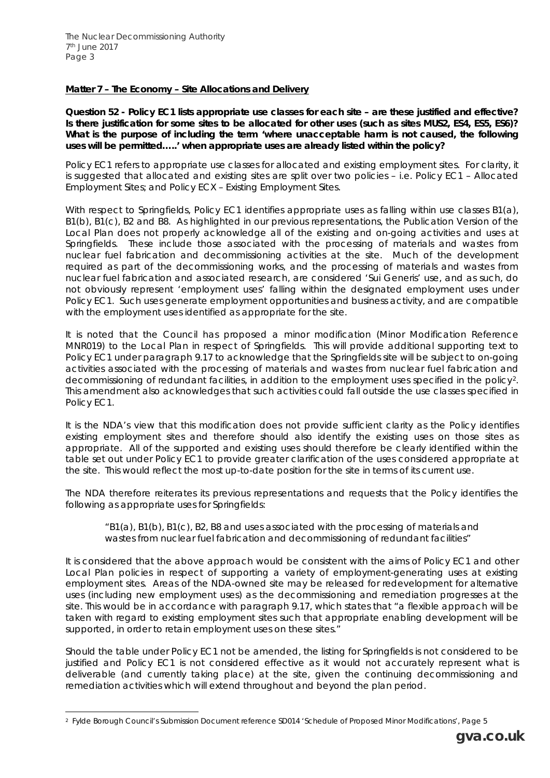# *Matter 7 – The Economy – Site Allocations and Delivery*

*Question 52 - Policy EC1 lists appropriate use classes for each site – are these justified and effective? Is there justification for some sites to be allocated for other uses (such as sites MUS2, ES4, ES5, ES6)? What is the purpose of including the term 'where unacceptable harm is not caused, the following uses will be permitted…..' when appropriate uses are already listed within the policy?* 

Policy EC1 refers to appropriate use classes for allocated and existing employment sites. For clarity, it is suggested that allocated and existing sites are split over two policies – i.e. *Policy EC1 – Allocated Employment Sites; and Policy ECX – Existing Employment Sites*.

With respect to Springfields, Policy EC1 identifies appropriate uses as falling within use classes B1(a), B1(b), B1(c), B2 and B8. As highlighted in our previous representations, the *Publication Version* of the *Local Plan* does not properly acknowledge all of the existing and on-going activities and uses at Springfields. These include those associated with the processing of materials and wastes from nuclear fuel fabrication and decommissioning activities at the site. Much of the development required as part of the decommissioning works, and the processing of materials and wastes from nuclear fuel fabrication and associated research, are considered 'Sui Generis' use, and as such, do not obviously represent 'employment uses' falling within the designated employment uses under Policy EC1. Such uses generate employment opportunities and business activity, and are compatible with the employment uses identified as appropriate for the site.

It is noted that the Council has proposed a minor modification (Minor Modification Reference MNR019) to the *Local Plan* in respect of Springfields. This will provide additional supporting text to Policy EC1 under paragraph 9.17 to acknowledge that the Springfields site will be subject to on-going activities associated with the processing of materials and wastes from nuclear fuel fabrication and decommissioning of redundant facilities, in addition to the employment uses specified in the policy[2.](#page-2-0) This amendment also acknowledges that such activities could fall outside the use classes specified in Policy EC1.

It is the NDA's view that this modification does not provide sufficient clarity as the Policy identifies existing employment sites and therefore should also identify the existing uses on those sites as appropriate. All of the supported and existing uses should therefore be clearly identified within the table set out under Policy EC1 to provide greater clarification of the uses considered appropriate at the site. This would reflect the most up-to-date position for the site in terms of its current use.

The NDA therefore reiterates its previous representations and requests that the Policy identifies the following as appropriate uses for Springfields:

"B1(a), B1(b), B1(c), B2, B8 and uses associated with the *processing of materials and wastes from nuclear fuel fabrication and decommissioning of redundant facilities"*

It is considered that the above approach would be consistent with the aims of Policy EC1 and other *Local Plan* policies in respect of supporting a variety of employment-generating uses at existing employment sites. Areas of the NDA-owned site may be released for redevelopment for alternative uses (including new employment uses) as the decommissioning and remediation progresses at the site. This would be in accordance with paragraph 9.17, which states that *"a flexible approach will be*  taken with regard to existing employment sites such that appropriate enabling development will be *supported, in order to retain employment uses on these sites."*

Should the table under Policy EC1 not be amended, the listing for Springfields is not considered to be justified and Policy EC1 is not considered effective as it would not accurately represent what is deliverable (and currently taking place) at the site, given the continuing decommissioning and remediation activities which will extend throughout and beyond the plan period.

<span id="page-2-0"></span> <sup>2</sup> Fylde Borough Council's Submission Document reference SD014 *'Schedule of Proposed Minor Modifications'*, Page 5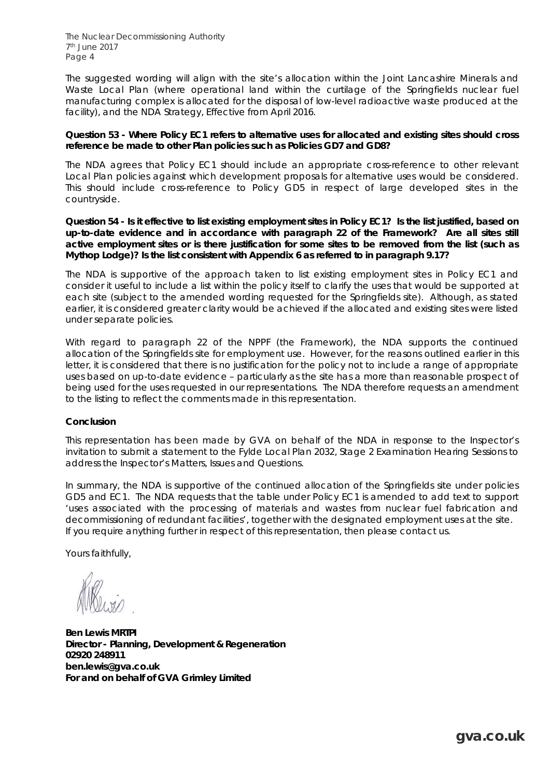The Nuclear Decommissioning Authority 7th June 2017 Page 4

The suggested wording will align with the site's allocation within the *Joint Lancashire Minerals and Waste Local Plan* (where operational land within the curtilage of the Springfields nuclear fuel manufacturing complex is allocated for the disposal of low-level radioactive waste produced at the facility), and the *NDA Strategy*, Effective from April 2016.

#### *Question 53 - Where Policy EC1 refers to alternative uses for allocated and existing sites should cross reference be made to other Plan policies such as Policies GD7 and GD8?*

The NDA agrees that Policy EC1 should include an appropriate cross-reference to other relevant *Local Plan* policies against which development proposals for alternative uses would be considered. This should include cross-reference to Policy GD5 in respect of large developed sites in the countryside.

#### *Question 54 - Is it effective to list existing employment sites in Policy EC1? Is the list justified, based on*  up-to-date evidence and in accordance with paragraph 22 of the Framework? Are all sites still *active employment sites or is there justification for some sites to be removed from the list (such as Mythop Lodge)? Is the list consistent with Appendix 6 as referred to in paragraph 9.17?*

The NDA is supportive of the approach taken to list existing employment sites in Policy EC1 and consider it useful to include a list within the policy itself to clarify the uses that would be supported at each site (subject to the amended wording requested for the Springfields site). Although, as stated earlier, it is considered greater clarity would be achieved if the allocated and existing sites were listed under separate policies.

With regard to paragraph 22 of the *NPPF (the Framework)*, the NDA supports the continued allocation of the Springfields site for employment use. However, for the reasons outlined earlier in this letter, it is considered that there is no justification for the policy not to include a range of appropriate uses based on up-to-date evidence – particularly as the site has a more than reasonable prospect of being used for the uses requested in our representations. The NDA therefore requests an amendment to the listing to reflect the comments made in this representation.

# *Conclusion*

This representation has been made by GVA on behalf of the NDA in response to the Inspector's invitation to submit a statement to the *Fylde Local Plan 2032*, Stage 2 Examination Hearing Sessions to address the *Inspector's Matters, Issues and Questions*.

In summary, the NDA is supportive of the continued allocation of the Springfields site under policies GD5 and EC1. The NDA requests that the table under Policy EC1 is amended to add text to support 'uses associated with the processing of materials and wastes from nuclear fuel fabrication and *decommissioning of redundant facilities'*, together with the designated employment uses at the site. If you require anything further in respect of this representation, then please contact us.

Yours faithfully,

**Ben Lewis MRTPI Director - Planning, Development & Regeneration 02920 248911 ben.lewis@gva.co.uk For and on behalf of GVA Grimley Limited**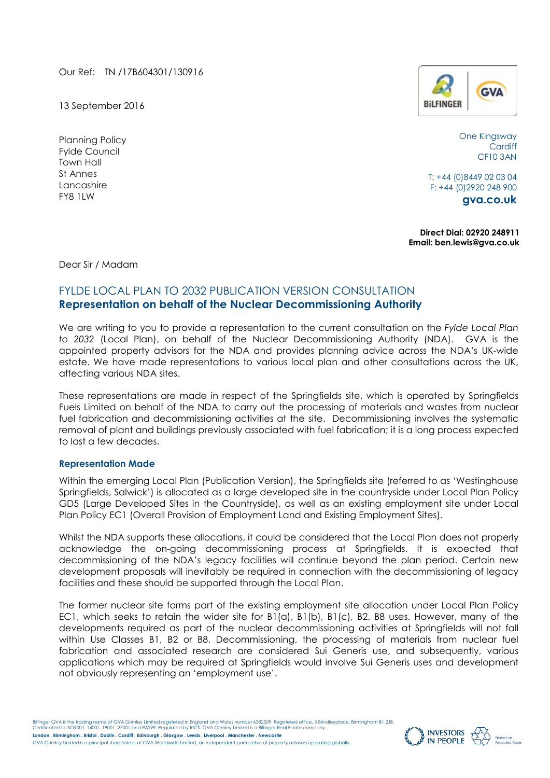Our Ref: TN /17B604301/130916

13 September 2016

Planning Policy Fylde Council Town Hall St Annes Lancashire FY8 1LW



One Kingsway **Cardiff** CF10 3AN

T: +44 (0)8449 02 03 04 F: +44 (0)2920 248 900

**gva.co.uk**

**Direct Dial: 02920 248911 Email: ben.lewis@gva.co.uk**

Dear Sir / Madam

# FYLDE LOCAL PLAN TO 2032 PUBLICATION VERSION CONSULTATION **Representation on behalf of the Nuclear Decommissioning Authority**

We are writing to you to provide a representation to the current consultation on the *Fylde Local Plan to 2032* (Local Plan), on behalf of the Nuclear Decommissioning Authority (NDA). GVA is the appointed property advisors for the NDA and provides planning advice across the NDA's UK-wide estate. We have made representations to various local plan and other consultations across the UK, affecting various NDA sites.

These representations are made in respect of the Springfields site, which is operated by Springfields Fuels Limited on behalf of the NDA to carry out the processing of materials and wastes from nuclear fuel fabrication and decommissioning activities at the site. Decommissioning involves the systematic removal of plant and buildings previously associated with fuel fabrication; it is a long process expected to last a few decades.

# **Representation Made**

Within the emerging Local Plan (Publication Version), the Springfields site (referred to as 'Westinghouse Springfields, Salwick') is allocated as a large developed site in the countryside under Local Plan Policy GD5 (Large Developed Sites in the Countryside), as well as an existing employment site under Local Plan Policy EC1 (Overall Provision of Employment Land and Existing Employment Sites).

Whilst the NDA supports these allocations, it could be considered that the Local Plan does not properly acknowledge the on-going decommissioning process at Springfields. It is expected that decommissioning of the NDA's legacy facilities will continue beyond the plan period. Certain new development proposals will inevitably be required in connection with the decommissioning of legacy facilities and these should be supported through the Local Plan.

The former nuclear site forms part of the existing employment site allocation under Local Plan Policy EC1, which seeks to retain the wider site for B1(a), B1(b), B1(c), B2, B8 uses. However, many of the developments required as part of the nuclear decommissioning activities at Springfields will not fall within Use Classes B1, B2 or B8. Decommissioning, the processing of materials from nuclear fuel fabrication and associated research are considered Sui Generis use, and subsequently, various applications which may be required at Springfields would involve Sui Generis uses and development not obviously representing an 'employment use'.